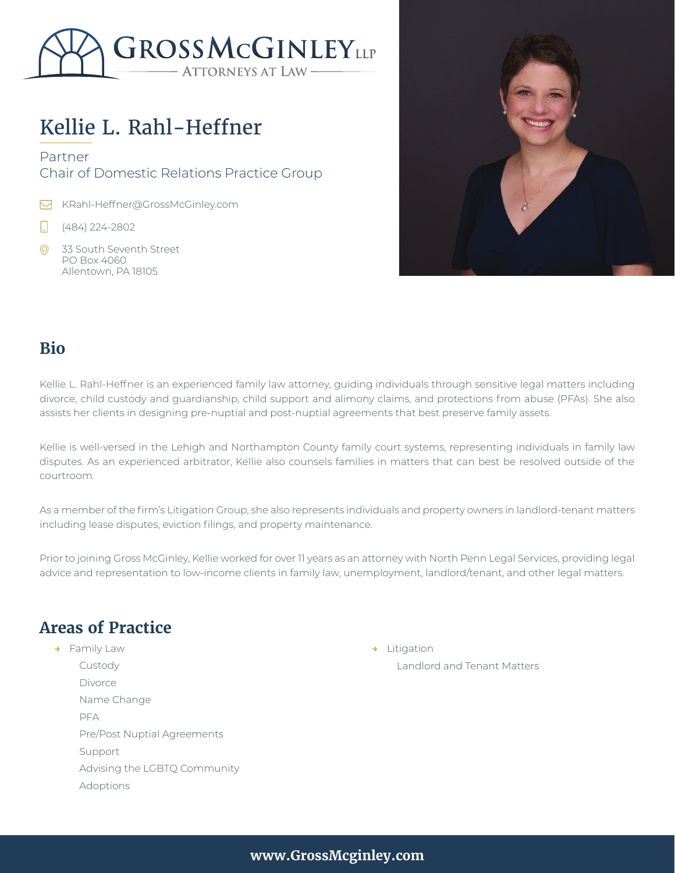

# Kellie L. Rahl-Heffner

#### Partner Chair of Domestic Relations Practice Group

KRahl-Heffner@GrossMcGinley.com

- Π (484) 224-2802
- 33 South Seventh Street PO Box 4060 Allentown, PA 18105



#### **Bio**

Kellie L. Rahl-Heffner is an experienced family law attorney, guiding individuals through sensitive legal matters including divorce, child custody and guardianship, child support and alimony claims, and protections from abuse (PFAs). She also assists her clients in designing pre-nuptial and post-nuptial agreements that best preserve family assets.

Kellie is well-versed in the Lehigh and Northampton County family court systems, representing individuals in family law disputes. As an experienced arbitrator, Kellie also counsels families in matters that can best be resolved outside of the courtroom.

As a member of the firm's Litigation Group, she also represents individuals and property owners in landlord-tenant matters including lease disputes, eviction filings, and property maintenance.

Prior to joining Gross McGinley, Kellie worked for over 11 years as an attorney with North Penn Legal Services, providing legal advice and representation to low-income clients in family law, unemployment, landlord/tenant, and other legal matters.

## **Areas of Practice**

**→** Family Law Custody Divorce Name Change PFA Pre/Post Nuptial Agreements Support Advising the LGBTQ Community Adoptions

**→** Litigation Landlord and Tenant Matters